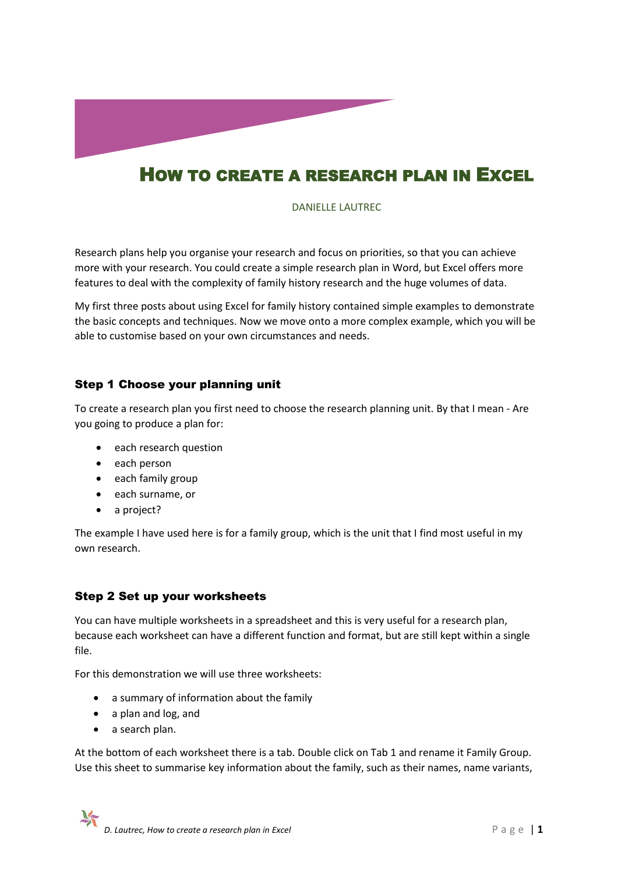

# HOW TO CREATE A RESEARCH PLAN IN EXCEL

DANIELLE LAUTREC

Research plans help you organise your research and focus on priorities, so that you can achieve more with your research. You could create a simple research plan in Word, but Excel offers more features to deal with the complexity of family history research and the huge volumes of data.

My first three posts about using Excel for family history contained simple examples to demonstrate the basic concepts and techniques. Now we move onto a more complex example, which you will be able to customise based on your own circumstances and needs.

## Step 1 Choose your planning unit

To create a research plan you first need to choose the research planning unit. By that I mean - Are you going to produce a plan for:

- each research question
- each person
- each family group
- each surname, or
- a project?

The example I have used here is for a family group, which is the unit that I find most useful in my own research.

## Step 2 Set up your worksheets

You can have multiple worksheets in a spreadsheet and this is very useful for a research plan, because each worksheet can have a different function and format, but are still kept within a single file.

For this demonstration we will use three worksheets:

- a summary of information about the family
- a plan and log, and
- a search plan.

At the bottom of each worksheet there is a tab. Double click on Tab 1 and rename it Family Group. Use this sheet to summarise key information about the family, such as their names, name variants,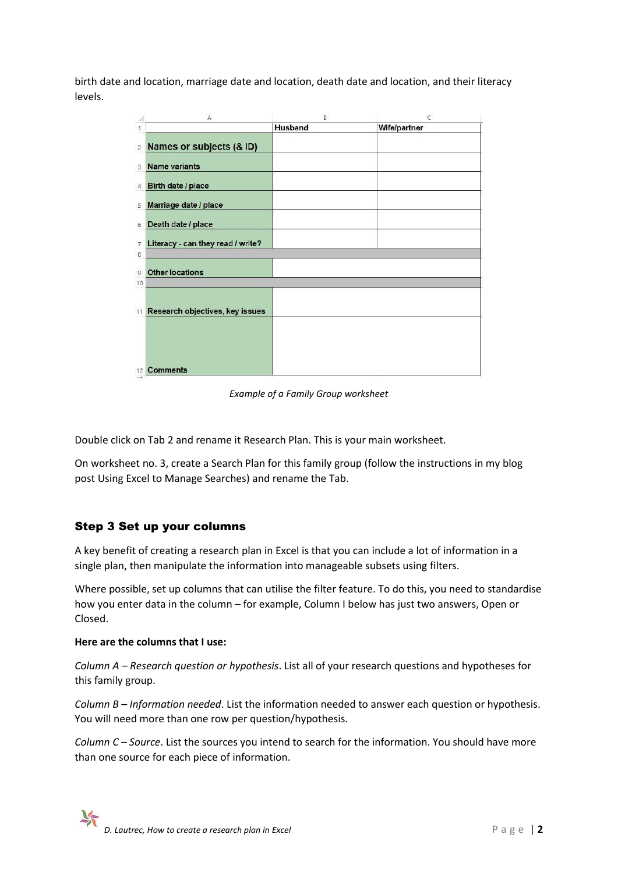birth date and location, marriage date and location, death date and location, and their literacy levels.

|                | A                                 | B       | C            |
|----------------|-----------------------------------|---------|--------------|
| 1              |                                   | Husband | Wife/partner |
| $\overline{2}$ | Names or subjects (& ID)          |         |              |
| 3              | <b>Name variants</b>              |         |              |
| $\overline{4}$ | Birth date / place                |         |              |
| 5              | Marriage date / place             |         |              |
| 6              | Death date / place                |         |              |
| $\overline{7}$ | Literacy - can they read / write? |         |              |
| 8              |                                   |         |              |
| $\overline{9}$ | <b>Other locations</b>            |         |              |
| 10             |                                   |         |              |
| 11             | Research objectives, key issues   |         |              |
|                |                                   |         |              |
| 12<br>$-25 -$  | <b>Comments</b>                   |         |              |

*Example of a Family Group worksheet*

Double click on Tab 2 and rename it Research Plan. This is your main worksheet.

On worksheet no. 3, create a Search Plan for this family group (follow the instructions in my blog post Using Excel to Manage Searches) and rename the Tab.

## Step 3 Set up your columns

A key benefit of creating a research plan in Excel is that you can include a lot of information in a single plan, then manipulate the information into manageable subsets using filters.

Where possible, set up columns that can utilise the filter feature. To do this, you need to standardise how you enter data in the column – for example, Column I below has just two answers, Open or Closed.

### **Here are the columns that I use:**

*Column A – Research question or hypothesis*. List all of your research questions and hypotheses for this family group.

*Column B – Information needed*. List the information needed to answer each question or hypothesis. You will need more than one row per question/hypothesis.

*Column C – Source*. List the sources you intend to search for the information. You should have more than one source for each piece of information.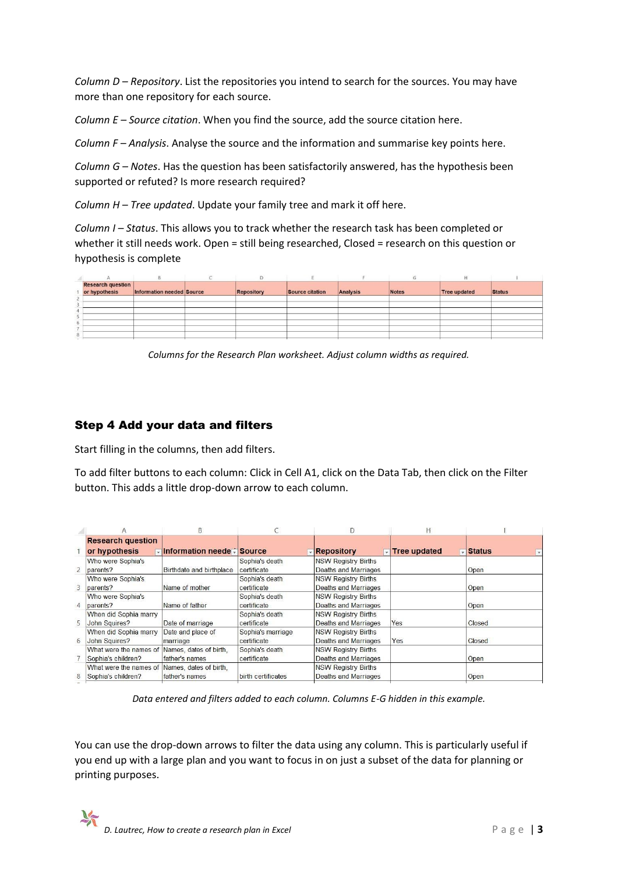*Column D – Repository*. List the repositories you intend to search for the sources. You may have more than one repository for each source.

*Column E – Source citation*. When you find the source, add the source citation here.

*Column F – Analysis*. Analyse the source and the information and summarise key points here.

*Column G – Notes*. Has the question has been satisfactorily answered, has the hypothesis been supported or refuted? Is more research required?

*Column H – Tree updated*. Update your family tree and mark it off here.

*Column I – Status*. This allows you to track whether the research task has been completed or whether it still needs work. Open = still being researched, Closed = research on this question or hypothesis is complete

|   | <b>Research question</b> |                           |            |                 |          |              |                     |               |
|---|--------------------------|---------------------------|------------|-----------------|----------|--------------|---------------------|---------------|
|   | or hypothesis            | Information needed Source | Repository | Source citation | Analysis | <b>Notes</b> | <b>Tree updated</b> | <b>Status</b> |
|   |                          |                           |            |                 |          |              |                     |               |
|   |                          |                           |            |                 |          |              |                     |               |
| ▵ |                          |                           |            |                 |          |              |                     |               |
|   |                          |                           |            |                 |          |              |                     |               |
| ь |                          |                           |            |                 |          |              |                     |               |
|   |                          |                           |            |                 |          |              |                     |               |
| 8 |                          |                           |            |                 |          |              |                     |               |

*Columns for the Research Plan worksheet. Adjust column widths as required.*

## Step 4 Add your data and filters

Start filling in the columns, then add filters.

To add filter buttons to each column: Click in Cell A1, click on the Data Tab, then click on the Filter button. This adds a little drop-down arrow to each column.

|                |                                               | B                          |                    |                                    | Н                   |                                             |
|----------------|-----------------------------------------------|----------------------------|--------------------|------------------------------------|---------------------|---------------------------------------------|
|                | <b>Research question</b>                      |                            |                    |                                    |                     |                                             |
|                | or hypothesis                                 | √Information neede √Source |                    | <b>Repository</b><br>$\rightarrow$ | <b>Tree updated</b> | <b>Vistatus</b><br>$\overline{\phantom{a}}$ |
|                | Who were Sophia's                             |                            | Sophia's death     | <b>NSW Registry Births</b>         |                     |                                             |
| $\overline{a}$ | parents?                                      | Birthdate and birthplace   | certificate        | Deaths and Marriages               |                     | Open                                        |
|                | Who were Sophia's                             |                            | Sophia's death     | <b>NSW Registry Births</b>         |                     |                                             |
| $\overline{3}$ | parents?                                      | Name of mother             | certificate        | Deaths and Marriages               |                     | Open                                        |
|                | Who were Sophia's                             |                            | Sophia's death     | <b>NSW Registry Births</b>         |                     |                                             |
| 4              | parents?                                      | Name of father             | certificate        | <b>Deaths and Marriages</b>        |                     | Open                                        |
|                | When did Sophia marry                         |                            | Sophia's death     | <b>NSW Registry Births</b>         |                     |                                             |
| 5              | John Squires?                                 | Date of marriage           | certificate        | Deaths and Marriages               | Yes                 | Closed                                      |
|                | When did Sophia marry                         | Date and place of          | Sophia's marriage  | <b>NSW Registry Births</b>         |                     |                                             |
| 6              | John Squires?                                 | marriage                   | certificate        | <b>Deaths and Marriages</b>        | Yes                 | Closed                                      |
|                | What were the names of                        | Names, dates of birth.     | Sophia's death     | <b>NSW Registry Births</b>         |                     |                                             |
|                | Sophia's children?                            | father's names             | certificate        | Deaths and Marriages               |                     | Open                                        |
|                | What were the names of Names, dates of birth, |                            |                    | <b>NSW Registry Births</b>         |                     |                                             |
| 8              | Sophia's children?                            | father's names             | birth certificates | <b>Deaths and Marriages</b>        |                     | Open                                        |

*Data entered and filters added to each column. Columns E-G hidden in this example.*

You can use the drop-down arrows to filter the data using any column. This is particularly useful if you end up with a large plan and you want to focus in on just a subset of the data for planning or printing purposes.